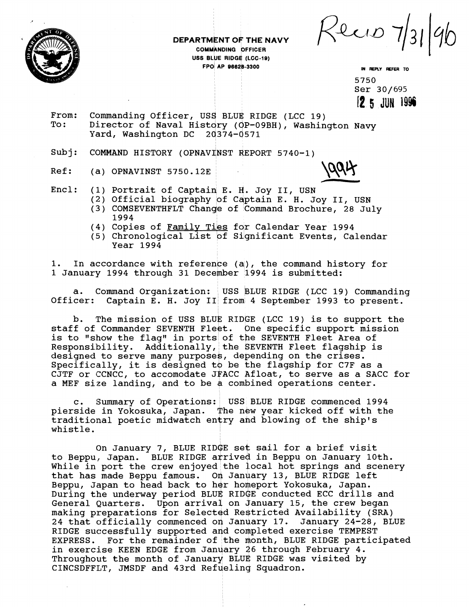Recio 7



**DEPARTMENT OF THE NAVY COMMANDING OF THE N<br>COMMANDING OFFICER<br>USS BLUE RIDGE (LCC-19)** FPO AP 96628-3300 **IN REPLY REFER TO** 

5750<br>**Ser** 30/695 Ser 30/695 I 8 **5 JUH 19%** 

From: Commanding Officer, USS BLUE RIDGE (LCC 19)<br>To: Director of Naval History (OP-09BH), Washin Director of Naval History ( OP-09BH), Washington Navy Yard, Washington DC 20374-0571

Subj: COMMAND HISTORY (OPNAVINST REPORT 5740-1)

Ref: (a) OPNAVINST 5750.12E

1994

- Encl: (1) Portrait of Captaiq E. **d.** Joy 11, USN
	- (2) Official biography of Captain E. H. Joy II, USN (3) COMSEVENTHFLT Change of Command Brochure, 28 July
	- 1994 (4) Copies of Family Ties for Calendar Year 1994
	- (5) Chronological List of Significant Events, Calendar Year 1994

1. In accordance with reference  $(a)$ , the command history for 1 January 1994 through 31 December 1994 is submitted:

a. Command Organization: USS BLUE RIDGE (LCC 19) Commanding Officer: Captain E. H. Joy II from 4 September 1993 to present. Captain E. H. Joy II from 4 September 1993 to present.

b. The mission of USS BLUE RIDGE (LCC 19) is to support the staff of Commander SEVENTH Fleet. One specific support mission is to "show the flag" in ports of the SEVENTH Fleet Area of Responsibility. Additionally, the SEVENTH Fleet flagship is designed to serve many purposes, depending on the crises. Specifically, it is designed to be the flagship for C7F as a CJTF or CCNCC, to accomodate JFACC Afloat, to serve as a SACC for a MEF size landing, and to be a combined operations center.

Summary of Operations: USS BLUE RIDGE commenced 1994 pierside in Yokosuka, Japan. The new year kicked off with the traditional poetic midwatch entry ahd blowing of the ship's whistle.

On January 7, BLUE RIDGE set sail for a brief visit to Beppu, Japan. BLUE RIDGE arrived in Beppu on January 10th. While in port the crew enjoyed the local hot springs and scenery that has made Beppu famous. On January 13, BLUE RIDGE left Beppu, Japan to head back to her homeport Yokosuka, Japan. During the underway period BLUE RIDGE conducted ECC drills and General Quarters. Upon arrival on January 15, the crew began making preparations for Selected Restricted Availability (SRA) 24 that officially commenced on January 17. January 24-28, BLUE RIDGE successfully supported and completed exercise TEMPEST EXPRESS. For the remainder of the month, BLUE RIDGE participated in exercise KEEN EDGE from January 26 through February 4. Throughout the month of January BLUE RIDGE was visited by CINCSDFFLT, JMSDF and 43rd Refueling Squadron.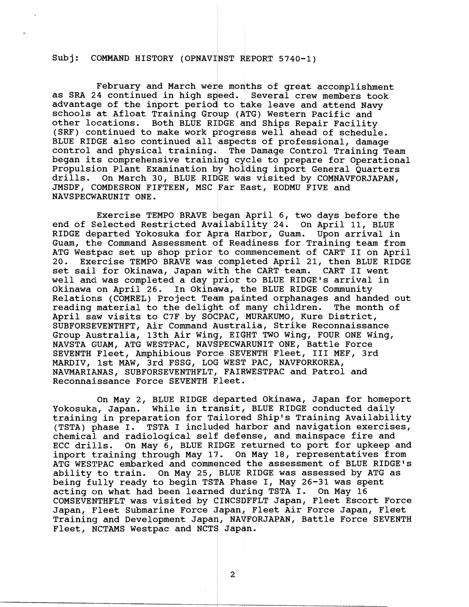## Subj: COMMAND HISTORY (OPNAVINST REPORT 5740-1)

February and March were months of great accomplishment as SRA 24 continued in high speed. Several crew members took advantage of the inport period to take leave and attend Navy schools at Afloat Training Group (4TG) Western Pacific and other locations. Both BLUE RIDGE dnd Ships Repair Facility (SRF) continued to make work progrdss well ahead of schedule. BLUE RIDGE also continued all aspects of professional, damage control and physical training. The Damage Control Training Team began its comprehensive training cycle to prepare for Operational Propulsion Plant Examination by holding inport General Quarters drills. On March 30, BLUE RIDGE wds visited by COMNAVFORJAPAN, JMSDF, COMDESRON FIFTEEN, MSC Far East, EODMU FIVE and NAVSPECWARUNIT ONE.

Exercise TEMPO BRAVE began April 6, two days before the end of Selected Restricted Availability 24. On April 11, BLUE RIDGE departed Yokosuka for Apra Harbor, Guam. Upon arrival in Guam, the Command Assessment of Readiness for Training team from ATG Westpac set up shop prior to commencement of CART II on April<br>20. Exercise TEMPO BRAVE was completed April 21, then BLUE RIDGE Exercise TEMPO BRAVE was completed April 21, then BLUE RIDGE set sail for Okinawa, Japan with the CART team. CART I1 went well and was completed a day prior to BLUE RIDGE'S arrival in Okinawa on April 26. In Okinawa, the BLUE RIDGE Community Relations (COMREL) Project Team painted orphanages and handed out reading material to the delight of many children. The month of April saw visits to C7F by SOdPAC, MURAKUMO, Kure District, SUBFORSEVENTHFT, Air Command Australia, Strike Reconnaissance Group Australia, 13th Air Wing, EIGHT TWO Wing, FOUR ONE Wing, NAVSTA GUAM, ATG WESTPAC, NAVSPECWARUNIT ONE, Battle Force SEVENTH Fleet, Amphibious Forde SEVENTH Fleet, III MEF, 3rd MARDIV, 1st MAW, 3rd FSSG, LOG WEST PAC, NAVFORKOREA, NAVMARIANAS, SUBFORSEVENTHFLT, FAIRWESTPAC and Patrol and Reconnaissance Force SEVENTH Fleet.

On May 2, BLUE RIDGE departed Okinawa, Japan for homeport Yokosuka, Japan. While in transit, BLUE RIDGE conducted daily training in preparation for Tailored Ship's Training Availability (TSTA) phase I. TSTA I included harbor and navigation exercises, chemical and radiological self defense, and mainspace fire and ECC drills. On May 6, BLUE RIDGE returned to port for upkeep and inport training through May 17. 0a May 18, representatives from ATG WESTPAC embarked and commenced the assessment of BLUE RIDGE'S ability to train. On May 25, BLUE RIDGE was assessed by ATG as being fully ready to begin TSTA Phase I, May 26-31 was spent acting on what had been learned during TSTA I. On May 16 COMSEVENTHFLT was visited by CINCSDFFLT Japan, Fleet Escort Force Japan, Fleet Submarine Force Japan, Fleet Air Force Japan, Fleet Training and Development Japan, NAVFORJAPAN, Battle Force SEVENTH Fleet, NCTAMS Westpac and NCTS Japan.

 $\overline{2}$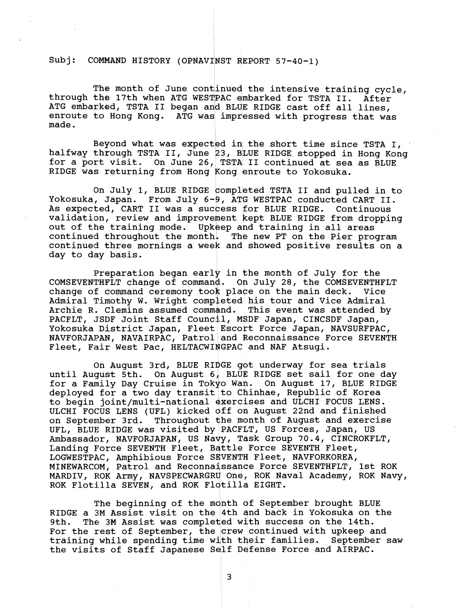Subj: COMMAND HISTORY (OPNAVINST REPORT 57-40-1)

The month of June continued the intensive training cycle, through the 17th when ATG WESTPAC embarked for TSTA II. After ATG embarked, TSTA II began and BLUE RIDGE cast off all lines, enroute to Hong Kong. ATG was impressed with progress that was made.

Beyond what was expected in the short time since TSTA I, halfway through TSTA II, June 23, BLUE RIDGE stopped in Hong Kong for a port visit. On June 26, TSTA II continued at sea as BLUE RIDGE was returning from Hong Kong enroute to Yokosuka.

On July 1, BLUE RIDGE completed TSTA II and pulled in to Yokosuka, Japan. From July 6-9, ATG WESTPAC conducted CART II. As expected, CART I1 was a success for BLUE RIDGE. Continuous validation, review and improvement kept BLUE RIDGE from dropping out of the training mode. Upkeep and training in all areas continued throughout the month. The new PT on the Pier program continued three mornings a week and showed positive results on a day to day basis.

Preparation began early in the month of July for the COMSEVENTHFLT change of command. Oh July 28, the COMSEVENTHFLT change of command ceremony took place on the main deck. Vice Admiral Timothy W. Wright completed his tour and Vice Admiral Archie R. Clemins assumed command. This event was attended by PACFLT, JSDF Joint Staff Council, MSDF Japan, CINCSDF Japan, Yokosuka District Japan, Fleet Escort Force Japan, NAVSURFPAC, NAVFORJAPAN, NAVAIRPAC, Patrol and Reconnaissance Force SEVENTH Fleet, Fair West Pac, HELTACWINGPAC and NAF Atsugi.

On August 3rd, BLUE RIDGE got underway for sea trials until August 5th. On August 6, BLUE RIDGE set sail for one day for a Family Day Cruise in Tokyo Wan. On August 17, BLUE RIDGE deployed for a two day transit to Chinhae, Republic of Korea to begin joint/multi-national exercises and ULCHI FOCUS LENS. ULCHI FOCUS LENS (UFL) kicked 4ff ofi August 22nd and finished on September 3rd. Throughout the month of August and exercise UFL, BLUE RIDGE was visited by PACFIT, US Forces, Japan, US Ambassador, NAVFORJAPAN, US Nayy, Tdsk Group 70.4, CINCROKFLT, Landing Force SEVENTH Fleet, Battle Force SEVENTH Fleet, LOGWESTPAC, Amphibious Force SEVENTH Fleet, NAVFORKOREA, MINEWARCOM, Patrol and Reconnaissance Force SEVENTHFLT, 1st ROK MARDIV, KOK Army, NAVSPECWARGRY One, ROK Naval Academy, ROK Navy, ROK Flotilla SEVEN, and ROK Flotilla EIGHT.

The beginning of the month of September brought BLUE RIDGE a 3M Assist visit on the 4th and back in Yokosuka on the 9th. The 3M Assist was completed with success on the 14th. The 3M Assist was completed with success on the 14th. For the rest of September, the crew continued with upkeep and training while spending time with their families. September saw the visits of Staff Japanese Self Defense Force and AIRPAC.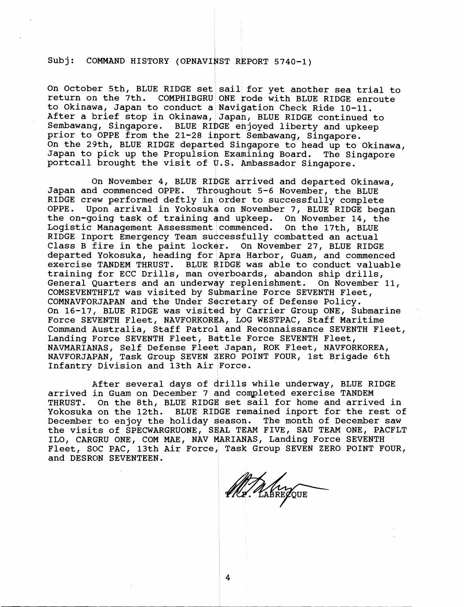## Subj: COMMAND HISTORY (OPNAVINST REPORT 5740-1)

On October 5th, BLUE RIDGE set sail for yet another sea trial to return on the 7th. COMPHIBGRU ONE rode with BLUE RIDGE enroute COMPHIBGRU ONE rode with BLUE RIDGE enroute to Okinawa, Japan to conduct a Navigation Check Ride 10-11. After a brief stop in Okinawa, Japah, BLUE RIDGE continued to Sembawang, Singapore. BLUE RIDGE enjoyed liberty and upkeep prior to OPPE from the 21-28 inport Sembawang, Singapore. On the 29th, BLUE RIDGE departed Singapore to head up to Okinawa, Japan to pick up the Propulsion Examining Board. The Singapore portcall brought the visit of  $\psi$ .S. Ambassador Singapore.

On November 4, BLUE RIDGE arrived and departed Okinawa,<br>Japan and commenced OPPE. Throughout 5-6 November, the BLUE Throughout 5-6 November, the BLUE RIDGE crew performed deftly in order to successfully complete<br>OPPE. Upon arrival in Yokosuka on November 7, BLUE RIDGE beg Upon arrival in Yokosuka on November 7, BLUE RIDGE began the on-going task of training and upkeep. On November 14, the Logistic Management Assessment commenced. On the 17th, BLUE Logistic Management Assessment commenced. RIDGE Inport Emergency Team successfully combatted an actual Class B fire in the paint locker. On November 27, BLUE RIDGE departed Yokosuka, heading for Apra Harbor, Guam, and commenced exercise TANDEM THRUST. BLUE RIDGE was able to conduct valuable training for ECC Drills, man overboards, abandon ship drills, General Quarters and an underway reglenishment. On November 11, COMSEVENTHFLT was visited by Submarine Force SEVENTH Fleet, COMNAVFORJAPAN and the Under Secretary of Defense Policy. On 16-17, BLUE RIDGE was visited by Carrier Group ONE, Submarine Force SEVENTH Fleet, NAVFORKOREA, LOG WESTPAC, Staff Maritime Command Australia, Staff Patrol and Reconnaissance SEVENTH Fleet, Landing Force SEVENTH Fleet, Battle Force SEVENTH Fleet, NAVMARIANAS, Self Defense Fleet Japan, ROK Fleet, NAVFORKOREA, NAVFORJAPAN, Task Group SEVEN 4ERO POINT FOUR, 1st Brigade 6th Infantry Division and 13th Air Force.

After several days of drills while underway, BLUE RIDGE arrived in Guam on December 7 and completed exercise TANDEM<br>THRUST. On the 8th, BLUE RIDGE set sail for home and arrive On the 8th, BLUE RIDGE set sail for home and arrived in Yokosuka on the 12th. BLUE RIDGE remained inport for the rest of December to enjoy the holiday eason. The month of December saw the visits of SPECWARGRUONE, SEAL TEAM FIVE, SAU TEAM ONE, PACFLT and DESRON SEVENTEEN. ILO, CARGRU ONE, COM MAE, NAV MARIANAS, Landing Force SEVENTH Fleet, SOC PAC, 13th Air Force, Task Group SEVEN ZERO POINT FOUR,

Mr. RASREPQUE

4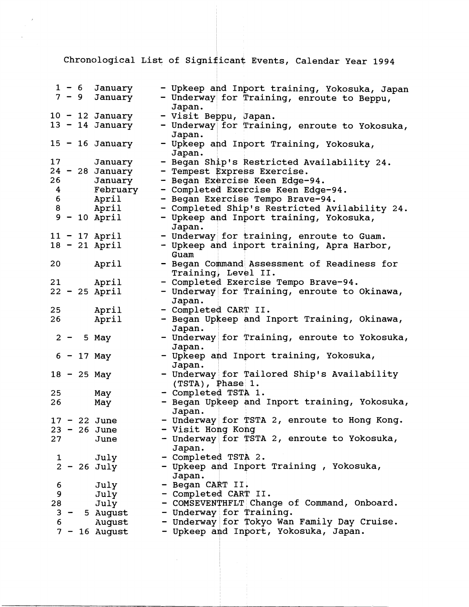Chronological List of Significant Events, Calendar Year 1994

|                 |       |            | $1 - 6$ January<br>$7 - 9$ January | - Upkeep and Inport training, Yokosuka, Japan<br>- Underway for Training, enroute to Beppu, |
|-----------------|-------|------------|------------------------------------|---------------------------------------------------------------------------------------------|
|                 |       |            |                                    | Japan.                                                                                      |
|                 |       |            | $10 - 12$ January                  | - Visit Beppu, Japan.                                                                       |
|                 |       |            | $13 - 14$ January                  | - Underway for Training, enroute to Yokosuka,<br>Japan.                                     |
|                 |       |            | $15 - 16$ January                  | - Upkeep and Inport Training, Yokosuka,<br>Japan.                                           |
| 17              |       |            | January                            | - Began Ship's Restricted Availability 24.                                                  |
|                 |       |            | $24 - 28$ January                  | - Tempest Express Exercise.                                                                 |
| 26              |       |            | January                            | - Began Exercise Keen Edge-94.                                                              |
|                 |       | $4\degree$ | February                           | - Completed Exercise Keen Edge-94.                                                          |
|                 | $6 -$ |            | April                              | - Began Exercise Tempo Brave-94.                                                            |
| 8               |       |            | April                              | - Completed Ship's Restricted Avilability 24.                                               |
|                 |       |            | $9 - 10$ April                     | - Upkeep and Inport training, Yokosuka,<br>Japan.                                           |
|                 |       |            | $11 - 17$ April                    | - Underway for training, enroute to Guam.                                                   |
|                 |       |            | $18 - 21$ April                    | - Upkeep and inport training, Apra Harbor,<br>Guam                                          |
| 20 <sub>o</sub> |       |            | April                              | - Began Command Assessment of Readiness for                                                 |
|                 |       |            |                                    | Training, Level II.                                                                         |
|                 |       |            | 21 April                           | - Completed Exercise Tempo Brave-94.                                                        |
|                 |       |            | $22 - 25$ April                    | - Underway for Training, enroute to Okinawa,<br>Japan.                                      |
| 25              |       |            | April                              | - Completed CART II.                                                                        |
| 26              |       |            | April                              | - Began Upkeep and Inport Training, Okinawa,<br>Japan.                                      |
|                 |       |            | $2 - 5$ May                        | - Underway for Training, enroute to Yokosuka,<br>Japan.                                     |
|                 |       |            | $6 - 17$ May                       | - Upkeep and Inport training, Yokosuka,<br>Japan.                                           |
|                 |       |            | $18 - 25$ May                      | - Underway for Tailored Ship's Availability<br>$(TSTA)$ , $Phase$ 1.                        |
| 25              |       |            | May                                | - Completed TSTA 1.                                                                         |
| 26              |       |            | May                                | - Began Upkeep and Inport training, Yokosuka,<br>Japan.                                     |
|                 |       |            | $17 - 22$ June                     | - Underway for TSTA 2, enroute to Hong Kong.                                                |
|                 |       |            | $23 - 26$ June                     | - Visit Hong Kong                                                                           |
| 27              |       |            | June                               | - Underway for TSTA 2, enroute to Yokosuka,<br>Japan.                                       |
| 1               |       |            | July                               | - Completed TSTA 2.                                                                         |
|                 |       |            | $2 - 26$ July                      | - Upkeep and Inport Training, Yokosuka,<br>Japan.                                           |
| 6               |       |            | July                               | - Began CART II.                                                                            |
| 9               |       |            | July                               | - Completed CART II.                                                                        |
| 28              |       |            | July                               | - COMSEVENTHFLT Change of Command, Onboard.                                                 |
| 3               |       |            | 5 August                           | - Underway for Training.                                                                    |
| 6               |       |            | August                             | - Underway for Tokyo Wan Family Day Cruise.                                                 |
|                 |       |            | $7 - 16$ August                    | - Upkeep and Inport, Yokosuka, Japan.                                                       |